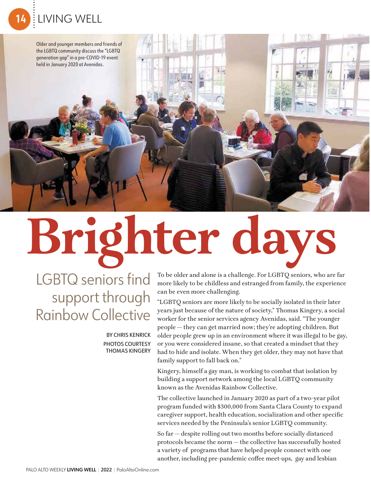Older and younger members and friends of the LGBTQ community discuss the "LGBTQ generation gap" in a pre-COVID-19 event held in January 2020 at Avenidas.

**Brighter days**

LGBTQ seniors find support through Rainbow Collective

> BY CHRIS KENRICK PHOTOS COURTESY THOMAS KINGERY

To be older and alone is a challenge. For LGBTQ seniors, who are far more likely to be childless and estranged from family, the experience can be even more challenging.

肌類

"LGBTQ seniors are more likely to be socially isolated in their later years just because of the nature of society," Thomas Kingery, a social worker for the senior services agency Avenidas, said. "The younger people — they can get married now; they're adopting children. But older people grew up in an environment where it was illegal to be gay, or you were considered insane, so that created a mindset that they had to hide and isolate. When they get older, they may not have that family support to fall back on."

Kingery, himself a gay man, is working to combat that isolation by building a support network among the local LGBTQ community known as the Avenidas Rainbow Collective.

The collective launched in January 2020 as part of a two-year pilot program funded with \$300,000 from Santa Clara County to expand caregiver support, health education, socialization and other specific services needed by the Peninsula's senior LGBTQ community.

So far — despite rolling out two months before socially distanced protocols became the norm — the collective has successfully hosted a variety of programs that have helped people connect with one another, including pre-pandemic coffee meet-ups, gay and lesbian